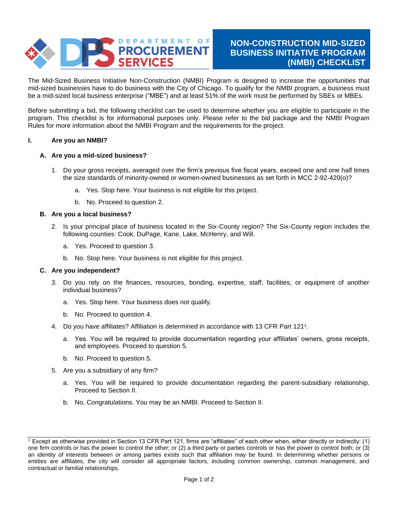

The Mid-Sized Business Initiative Non-Construction (NMBI) Program is designed to increase the opportunities that mid-sized businesses have to do business with the City of Chicago. To qualify for the NMBI program, a business must be a mid-sized local business enterprise ("MBE") and at least 51% of the work must be performed by SBEs or MBEs.

Before submitting a bid, the following checklist can be used to determine whether you are eligible to participate in the program. This checklist is for informational purposes only. Please refer to the bid package and the NMBI Program Rules for more information about the NMBI Program and the requirements for the project.

## **I. Are you an NMBI?**

## **A. Are you a mid-sized business?**

- 1. Do your gross receipts, averaged over the firm's previous five fiscal years, exceed one and one half times the size standards of minority-owned or women-owned businesses as set forth in MCC 2-92-420(o)?
	- a. Yes. Stop here. Your business is not eligible for this project.
	- b. No. Proceed to question 2.

### **B. Are you a local business?**

- 2. Is your principal place of business located in the Six-County region? The Six-County region includes the following counties: Cook, DuPage, Kane, Lake, McHenry, and Will.
	- a. Yes. Proceed to question 3.
	- b. No. Stop here. Your business is not eligible for this project.

#### **C. Are you independent?**

- 3. Do you rely on the finances, resources, bonding, expertise, staff, facilities, or equipment of another individual business?
	- a. Yes. Stop here. Your business does not qualify.
	- b. No. Proceed to question 4.
- 4. Do you have affiliates? Affiliation is determined in accordance with 13 CFR Part 121<sup>1</sup> .
	- a. Yes. You will be required to provide documentation regarding your affiliates' owners, gross receipts, and employees. Proceed to question 5.
	- b. No. Proceed to question 5.
- 5. Are you a subsidiary of any firm?
	- a. Yes. You will be required to provide documentation regarding the parent-subsidiary relationship. Proceed to Section II.
	- b. No. Congratulations. You may be an NMBI. Proceed to Section II.

<sup>1</sup> Except as otherwise provided in Section 13 CFR Part 121, firms are "affiliates" of each other when, either directly or indirectly: (1) one firm controls or has the power to control the other; or (2) a third party or parties controls or has the power to control both; or (3) an identity of interests between or among parties exists such that affiliation may be found. In determining whether persons or entities are affiliates, the city will consider all appropriate factors, including common ownership, common management, and contractual or familial relationships.